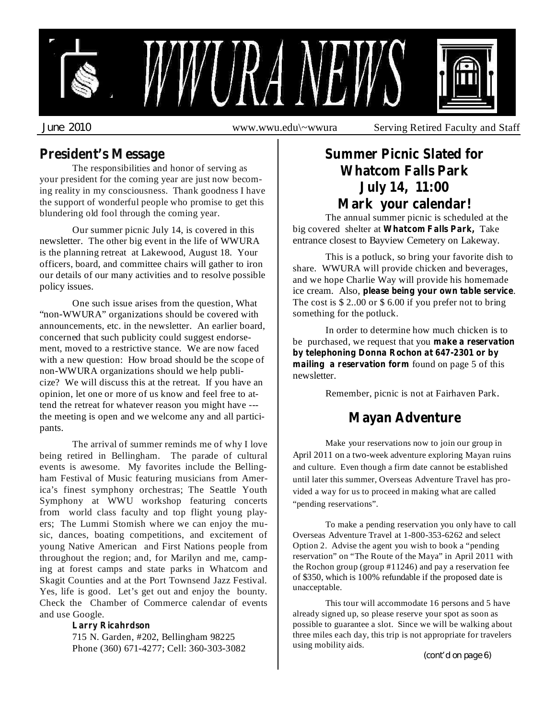

**President's Message**

The responsibilities and honor of serving as your president for the coming year are just now becoming reality in my consciousness. Thank goodness I have the support of wonderful people who promise to get this blundering old fool through the coming year.

Our summer picnic July 14, is covered in this newsletter. The other big event in the life of WWURA is the planning retreat at Lakewood, August 18. Your officers, board, and committee chairs will gather to iron our details of our many activities and to resolve possible policy issues.

One such issue arises from the question, What "non-WWURA" organizations should be covered with announcements, etc. in the newsletter. An earlier board, concerned that such publicity could suggest endorsement, moved to a restrictive stance. We are now faced with a new question: How broad should be the scope of non-WWURA organizations should we help publicize? We will discuss this at the retreat. If you have an opinion, let one or more of us know and feel free to attend the retreat for whatever reason you might have -- the meeting is open and we welcome any and all participants.

The arrival of summer reminds me of why I love being retired in Bellingham. The parade of cultural events is awesome. My favorites include the Bellingham Festival of Music featuring musicians from America's finest symphony orchestras; The Seattle Youth Symphony at WWU workshop featuring concerts from world class faculty and top flight young players; The Lummi Stomish where we can enjoy the music, dances, boating competitions, and excitement of young Native American and First Nations people from throughout the region; and, for Marilyn and me, camping at forest camps and state parks in Whatcom and Skagit Counties and at the Port Townsend Jazz Festival. Yes, life is good. Let's get out and enjoy the bounty. Check the Chamber of Commerce calendar of events and use Google.

#### **Larry Ricahrdson**

715 N. Garden, #202, Bellingham 98225 Phone (360) 671-4277; Cell: 360-303-3082

## **Summer Picnic Slated for Whatcom Falls Park July 14, 11:00 Mark your calendar!**

The annual summer picnic is scheduled at the big covered shelter at Whatcom Falls Park, Take entrance closest to Bayview Cemetery on Lakeway.

This is a potluck, so bring your favorite dish to share. WWURA will provide chicken and beverages, and we hope Charlie Way will provide his homemade ice cream. Also, please being your own table service. The cost is \$ 2..00 or \$ 6.00 if you prefer not to bring something for the potluck.

In order to determine how much chicken is to be purchased, we request that you **make a reservation mailing** a reservation form found on page 5 of this newsletter. **by telephoning Donna Rochon at 647-2301 or by**

Remember, picnic is not at Fairhaven Park.

## **Mayan Adventure**

Make your reservations now to join our group in April 2011 on a two-week adventure exploring Mayan ruins and culture. Even though a firm date cannot be established until later this summer, Overseas Adventure Travel has provided a way for us to proceed in making what are called "pending reservations".

To make a pending reservation you only have to call Overseas Adventure Travel at 1-800-353-6262 and select Option 2. Advise the agent you wish to book a "pending reservation" on "The Route of the Maya" in April 2011 with the Rochon group (group #11246) and pay a reservation fee of \$350, which is 100% refundable if the proposed date is unacceptable.

This tour will accommodate 16 persons and 5 have already signed up, so please reserve your spot as soon as possible to guarantee a slot. Since we will be walking about three miles each day, this trip is not appropriate for travelers using mobility aids.

*(cont'd on page 6)*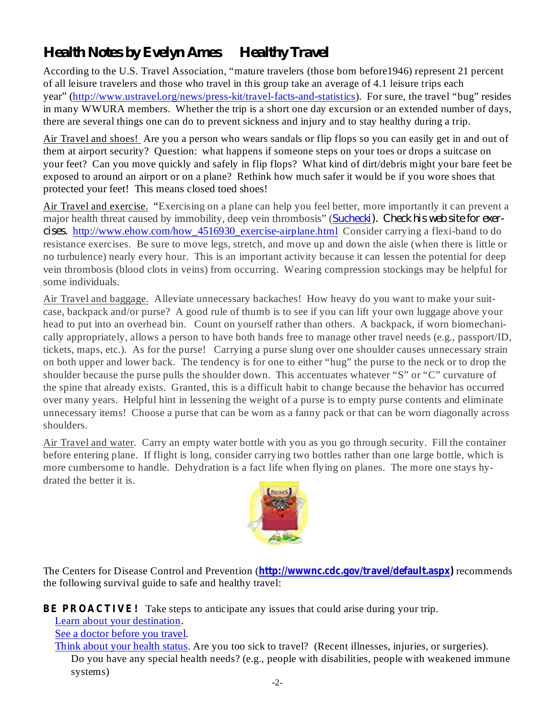# *Health Notes by Evelyn Ames Healthy Travel*

According to the U.S. Travel Association, "mature travelers (those born before1946) represent 21 percent of all leisure travelers and those who travel in this group take an average of 4.1 leisure trips each year" (http://www.ustravel.org/news/press-kit/travel-facts-and-statistics). For sure, the travel "bug" resides in many WWURA members. Whether the trip is a short one day excursion or an extended number of days, there are several things one can do to prevent sickness and injury and to stay healthy during a trip.

Air Travel and shoes! Are you a person who wears sandals or flip flops so you can easily get in and out of them at airport security? Question: what happens if someone steps on your toes or drops a suitcase on your feet? Can you move quickly and safely in flip flops? What kind of dirt/debris might your bare feet be exposed to around an airport or on a plane? Rethink how much safer it would be if you wore shoes that protected your feet! This means closed toed shoes!

Air Travel and exercise. "Exercising on a plane can help you feel better, more importantly it can prevent a major health threat caused by immobility, deep vein thrombosis" ( *Suchecki). Check his web site for exer*cises. http://www.ehow.com/how\_4516930\_exercise-airplane.html Consider carrying a flexi-band to do resistance exercises. Be sure to move legs, stretch, and move up and down the aisle (when there is little or no turbulence) nearly every hour. This is an important activity because it can lessen the potential for deep vein thrombosis (blood clots in veins) from occurring. Wearing compression stockings may be helpful for some individuals.

Air Travel and baggage. Alleviate unnecessary backaches! How heavy do you want to make your suitcase, backpack and/or purse? A good rule of thumb is to see if you can lift your own luggage above your head to put into an overhead bin. Count on yourself rather than others. A backpack, if worn biomechanically appropriately, allows a person to have both hands free to manage other travel needs (e.g., passport/ID, tickets, maps, etc.). As for the purse! Carrying a purse slung over one shoulder causes unnecessary strain on both upper and lower back. The tendency is for one to either "hug" the purse to the neck or to drop the shoulder because the purse pulls the shoulder down. This accentuates whatever "S" or "C" curvature of the spine that already exists. Granted, this is a difficult habit to change because the behavior has occurred over many years. Helpful hint in lessening the weight of a purse is to empty purse contents and eliminate unnecessary items! Choose a purse that can be worn as a fanny pack or that can be worn diagonally across shoulders.

Air Travel and water. Carry an empty water bottle with you as you go through security. Fill the container before entering plane. If flight is long, consider carrying two bottles rather than one large bottle, which is more cumbersome to handle. Dehydration is a fact life when flying on planes. The more one stays hydrated the better it is.



The Centers for Disease Control and Prevention (**http://wwwnc.cdc.gov/travel/default.aspx**) recommends the following survival guide to safe and healthy travel:

BE PROACTIVE! Take steps to anticipate any issues that could arise during your trip.

Learn about your destination.

See a doctor before you travel.

Think about your health status. Are you too sick to travel? (Recent illnesses, injuries, or surgeries). Do you have any special health needs? (e.g., people with disabilities, people with weakened immune systems)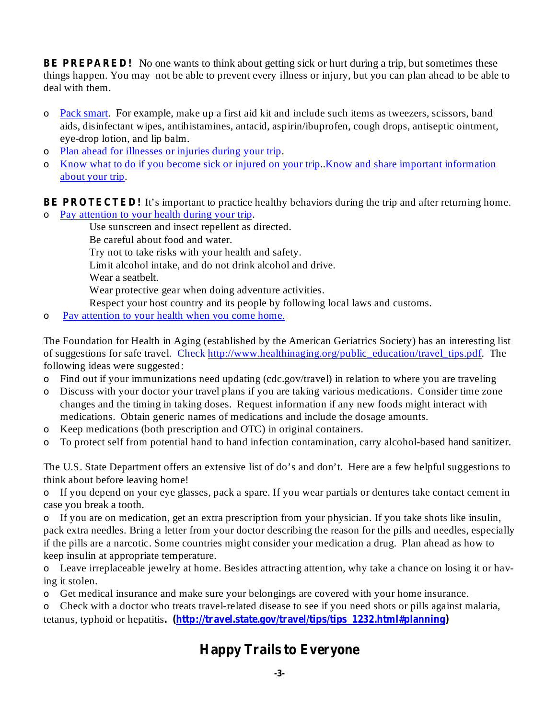**BE PREPARED!** No one wants to think about getting sick or hurt during a trip, but sometimes these things happen. You may not be able to prevent every illness or injury, but you can plan ahead to be able to deal with them.

- o Pack smart. For example, make up a first aid kit and include such items as tweezers, scissors, band aids, disinfectant wipes, antihistamines, antacid, aspirin/ibuprofen, cough drops, antiseptic ointment, eye-drop lotion, and lip balm.
- Plan ahead for illnesses or injuries during your trip. o
- $\circ$  Know what to do if you become sick or injured on your trip. Know and share important information about your trip.

**BE PROTECTED!** It's important to practice healthy behaviors during the trip and after returning home.

 $\overline{P}$  Pay attention to your health during your trip.

Use sunscreen and insect repellent as directed. Be careful about food and water. Try not to take risks with your health and safety. Limit alcohol intake, and do not drink alcohol and drive. Wear a seatbelt. Wear protective gear when doing adventure activities. Respect your host country and its people by following local laws and customs.

Pay attention to your health when you come home. o

The Foundation for Health in Aging (established by the American Geriatrics Society) has an interesting list of suggestions for safe travel. Check http://www.healthinaging.org/public\_education/travel\_tips.pdf. The following ideas were suggested:

- Find out if your immunizations need updating (cdc.gov/travel) in relation to where you are traveling o
- Discuss with your doctor your travel plans if you are taking various medications. Consider time zone o changes and the timing in taking doses. Request information if any new foods might interact with medications. Obtain generic names of medications and include the dosage amounts.
- Keep medications (both prescription and OTC) in original containers. o
- To protect self from potential hand to hand infection contamination, carry alcohol-based hand sanitizer. o

The U.S. State Department offers an extensive list of do's and don't. Here are a few helpful suggestions to think about before leaving home!

If you depend on your eye glasses, pack a spare. If you wear partials or dentures take contact cement in o case you break a tooth.

o If you are on medication, get an extra prescription from your physician. If you take shots like insulin, pack extra needles. Bring a letter from your doctor describing the reason for the pills and needles, especially if the pills are a narcotic. Some countries might consider your medication a drug. Plan ahead as how to keep insulin at appropriate temperature.

Leave irreplaceable jewelry at home. Besides attracting attention, why take a chance on losing it or hav-o ing it stolen.

Get medical insurance and make sure your belongings are covered with your home insurance. o

tetanus, typhoid or hepatitis. (http://travel.state.gov/travel/tips/tips\_1232.html#planning) Check with a doctor who treats travel-related disease to see if you need shots or pills against malaria, o

## **Happy Trails to Everyone**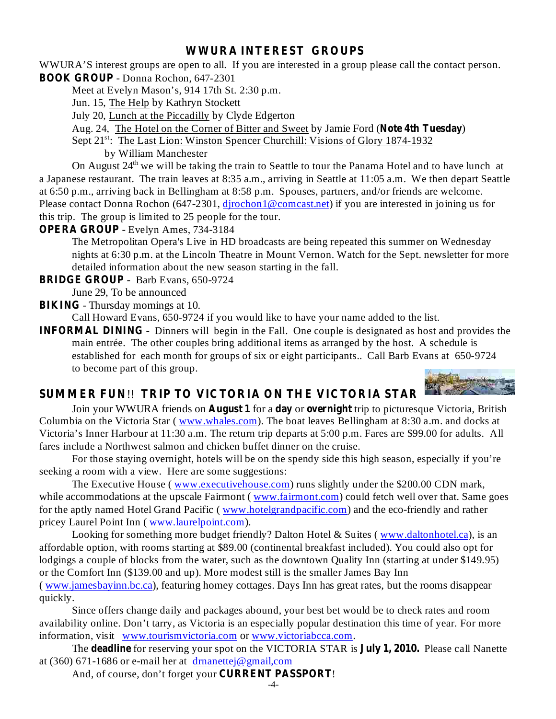#### **WWURA INTEREST GROUPS**

**BOOK GROUP** - Donna Rochon, 647-2301 WWURA'S interest groups are open to all. If you are interested in a group please call the contact person.

Meet at Evelyn Mason's, 914 17th St. 2:30 p.m.

Jun. 15, The Help by Kathryn Stockett

July 20, Lunch at the Piccadilly by Clyde Edgerton

Aug. 24, The Hotel on the Corner of Bitter and Sweet by Jamie Ford (Note 4th Tuesday)

Sept 21<sup>st</sup>: The Last Lion: Winston Spencer Churchill: Visions of Glory 1874-1932

by William Manchester

On August  $24<sup>th</sup>$  we will be taking the train to Seattle to tour the Panama Hotel and to have lunch at a Japanese restaurant. The train leaves at 8:35 a.m., arriving in Seattle at 11:05 a.m. We then depart Seattle at 6:50 p.m., arriving back in Bellingham at 8:58 p.m. Spouses, partners, and/or friends are welcome. Please contact Donna Rochon (647-2301, djrochon1@comcast.net) if you are interested in joining us for this trip. The group is limited to 25 people for the tour.

**OPERA GROUP** - Evelyn Ames, 734-3184

The Metropolitan Opera's Live in HD broadcasts are being repeated this summer on Wednesday nights at 6:30 p.m. at the Lincoln Theatre in Mount Vernon. Watch for the Sept. newsletter for more detailed information about the new season starting in the fall.

**BRIDGE GROUP** - Barb Evans, 650-9724

June 29, To be announced

**BIKING** - Thursday mornings at 10.

Call Howard Evans, 650-9724 if you would like to have your name added to the list.

**INFORMAL DINING** - Dinners will begin in the Fall. One couple is designated as host and provides the main entrée. The other couples bring additional items as arranged by the host. A schedule is established for each month for groups of six or eight participants.. Call Barb Evans at 650-9724 to become part of this group.



### **SUMMER FUN TRIP TO VICTORIA ON THE VICTORIA STAR** !!

Join your WWURA friends on **August 1** for a day or overnight trip to picturesque Victoria, British Columbia on the Victoria Star ( www.whales.com). The boat leaves Bellingham at 8:30 a.m. and docks at Victoria's Inner Harbour at 11:30 a.m. The return trip departs at 5:00 p.m. Fares are \$99.00 for adults. All fares include a Northwest salmon and chicken buffet dinner on the cruise.

For those staying overnight, hotels will be on the spendy side this high season, especially if you're seeking a room with a view. Here are some suggestions:

The Executive House (www.executivehouse.com) runs slightly under the \$200.00 CDN mark, while accommodations at the upscale Fairmont (www.fairmont.com) could fetch well over that. Same goes for the aptly named Hotel Grand Pacific ( www.hotelgrandpacific.com) and the eco-friendly and rather pricey Laurel Point Inn ( www.laurelpoint.com).

Looking for something more budget friendly? Dalton Hotel & Suites (www.daltonhotel.ca), is an affordable option, with rooms starting at \$89.00 (continental breakfast included). You could also opt for lodgings a couple of blocks from the water, such as the downtown Quality Inn (starting at under \$149.95) or the Comfort Inn (\$139.00 and up). More modest still is the smaller James Bay Inn ( www.jamesbayinn.bc.ca), featuring homey cottages. Days Inn has great rates, but the rooms disappear

quickly. Since offers change daily and packages abound, your best bet would be to check rates and room availability online. Don't tarry, as Victoria is an especially popular destination this time of year. For more information, visit www.tourismvictoria.com or www.victoriabcca.com.

The **deadline** for reserving your spot on the VICTORIA STAR is **July 1, 2010.** Please call Nanette at (360) 671-1686 or e-mail her at drnanettej@gmail,com

And, of course, don't forget your **CURRENT PASSPORT!**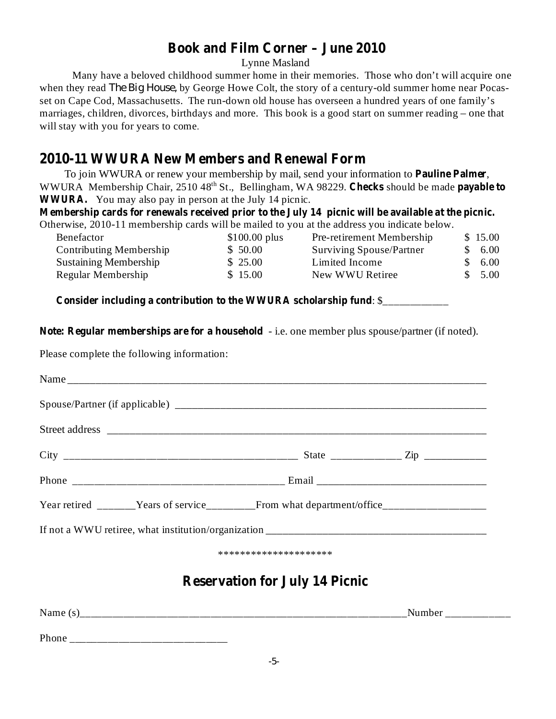### **Book and Film Corner – June 2010**

Lynne Masland

Many have a beloved childhood summer home in their memories. Those who don't will acquire one when they read *The Big House*, by George Howe Colt, the story of a century-old summer home near Pocasset on Cape Cod, Massachusetts. The run-down old house has overseen a hundred years of one family's marriages, children, divorces, birthdays and more. This book is a good start on summer reading – one that will stay with you for years to come.

## **2010-11 WWURA New Members and Renewal Form**

To join WWURA or renew your membership by mail, send your information to **Pauline Palmer**, WWURA Membership Chair, 2510 48<sup>th</sup> St., Bellingham, WA 98229. Checks should be made payable to **WWURA.** You may also pay in person at the July 14 picnic.

**Membership cards for renewals received prior to the July 14 picnic will be available at the picnic.** Otherwise, 2010-11 membership cards will be mailed to you at the address you indicate below.

| Benefactor                   | $$100.00$ plus | Pre-retirement Membership       | \$15.00 |
|------------------------------|----------------|---------------------------------|---------|
| Contributing Membership      | \$50.00        | <b>Surviving Spouse/Partner</b> | \$6.00  |
| <b>Sustaining Membership</b> | \$25.00        | Limited Income                  | \$6.00  |
| Regular Membership           | \$15.00        | New WWU Retiree                 | \$5.00  |

**Consider including a contribution to the WWURA scholarship fund** : \$\_\_\_\_\_\_\_\_\_\_\_\_

**Note: Regular memberships are for a household** - i.e. one member plus spouse/partner (if noted).

Please complete the following information:

|                                       | ********************* |  |  |  |
|---------------------------------------|-----------------------|--|--|--|
| <b>Reservation for July 14 Picnic</b> |                       |  |  |  |
|                                       |                       |  |  |  |
| Phone                                 |                       |  |  |  |